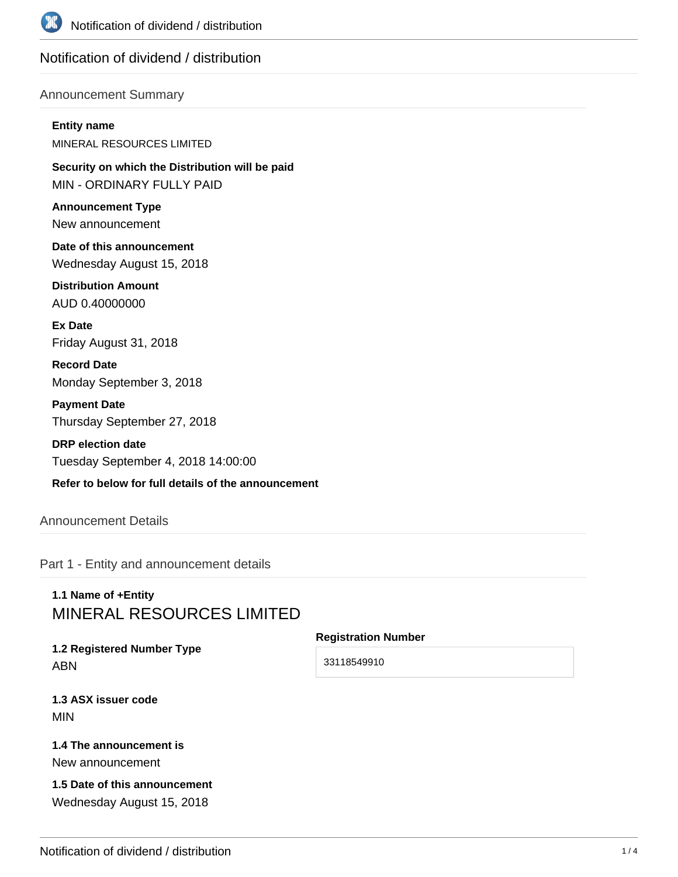

# Notification of dividend / distribution

#### Announcement Summary

#### **Entity name**

MINERAL RESOURCES LIMITED

**Security on which the Distribution will be paid** MIN - ORDINARY FULLY PAID

**Announcement Type** New announcement

**Date of this announcement** Wednesday August 15, 2018

**Distribution Amount** AUD 0.40000000

**Ex Date** Friday August 31, 2018

**Record Date** Monday September 3, 2018

**Payment Date** Thursday September 27, 2018

**DRP election date** Tuesday September 4, 2018 14:00:00

### **Refer to below for full details of the announcement**

Announcement Details

Part 1 - Entity and announcement details

# **1.1 Name of +Entity** MINERAL RESOURCES LIMITED

**1.2 Registered Number Type** ABN

**Registration Number**

33118549910

**1.3 ASX issuer code** MIN

#### **1.4 The announcement is** New announcement

**1.5 Date of this announcement** Wednesday August 15, 2018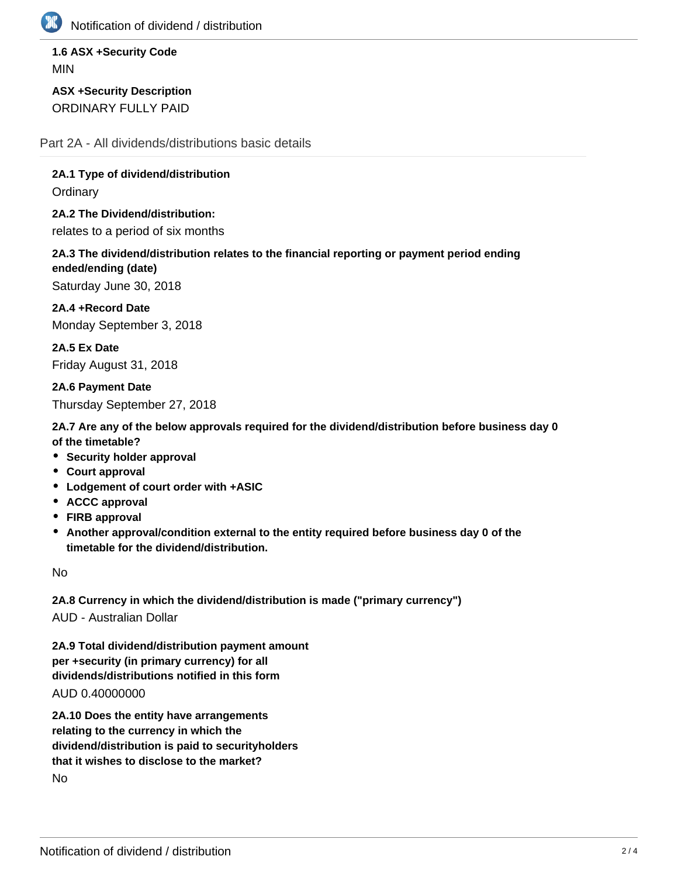

Notification of dividend / distribution

**1.6 ASX +Security Code** MIN

**ASX +Security Description** ORDINARY FULLY PAID

Part 2A - All dividends/distributions basic details

**2A.1 Type of dividend/distribution Ordinary** 

**2A.2 The Dividend/distribution:** relates to a period of six months

**2A.3 The dividend/distribution relates to the financial reporting or payment period ending ended/ending (date)**

Saturday June 30, 2018

**2A.4 +Record Date** Monday September 3, 2018

**2A.5 Ex Date** Friday August 31, 2018

**2A.6 Payment Date** Thursday September 27, 2018

**2A.7 Are any of the below approvals required for the dividend/distribution before business day 0 of the timetable?**

- **Security holder approval**
- **Court approval**
- **Lodgement of court order with +ASIC**
- **ACCC approval**
- **FIRB approval**
- **Another approval/condition external to the entity required before business day 0 of the timetable for the dividend/distribution.**

No

**2A.8 Currency in which the dividend/distribution is made ("primary currency")** AUD - Australian Dollar

**2A.9 Total dividend/distribution payment amount per +security (in primary currency) for all dividends/distributions notified in this form**

AUD 0.40000000

**2A.10 Does the entity have arrangements relating to the currency in which the dividend/distribution is paid to securityholders that it wishes to disclose to the market?** No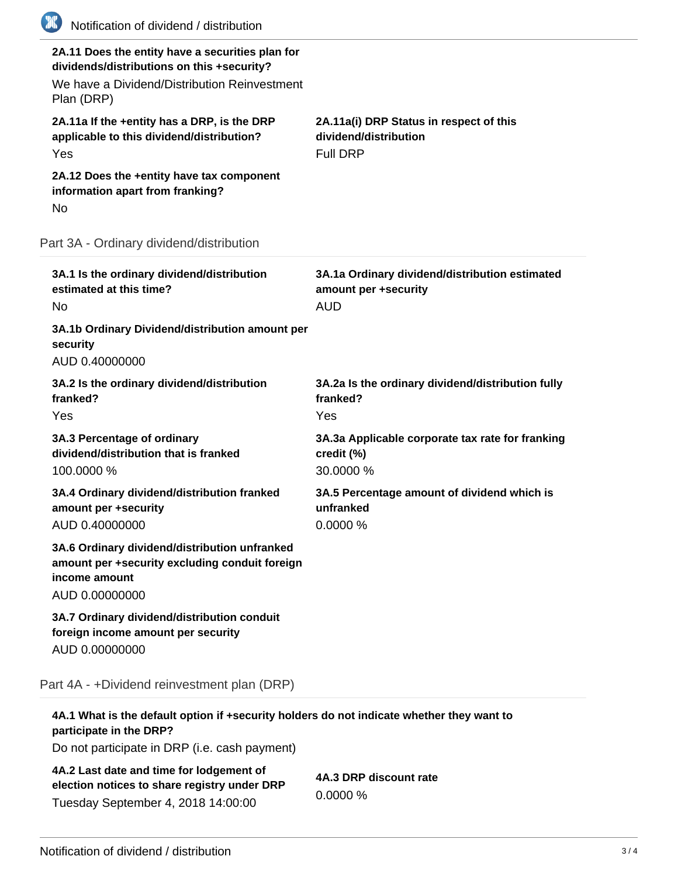| (XX)<br>Notification of dividend / distribution                                                                                                              |                                                                                      |
|--------------------------------------------------------------------------------------------------------------------------------------------------------------|--------------------------------------------------------------------------------------|
| 2A.11 Does the entity have a securities plan for<br>dividends/distributions on this +security?<br>We have a Dividend/Distribution Reinvestment<br>Plan (DRP) |                                                                                      |
| 2A.11a If the +entity has a DRP, is the DRP<br>applicable to this dividend/distribution?<br>Yes                                                              | 2A.11a(i) DRP Status in respect of this<br>dividend/distribution<br><b>Full DRP</b>  |
| 2A.12 Does the +entity have tax component<br>information apart from franking?<br>No                                                                          |                                                                                      |
| Part 3A - Ordinary dividend/distribution                                                                                                                     |                                                                                      |
| 3A.1 Is the ordinary dividend/distribution<br>estimated at this time?<br><b>No</b>                                                                           | 3A.1a Ordinary dividend/distribution estimated<br>amount per +security<br><b>AUD</b> |
| 3A.1b Ordinary Dividend/distribution amount per<br>security<br>AUD 0.40000000                                                                                |                                                                                      |
| 3A.2 Is the ordinary dividend/distribution<br>franked?<br>Yes                                                                                                | 3A.2a Is the ordinary dividend/distribution fully<br>franked?<br>Yes                 |
| 3A.3 Percentage of ordinary<br>dividend/distribution that is franked<br>100.0000 %                                                                           | 3A.3a Applicable corporate tax rate for franking<br>credit (%)<br>30.0000 %          |
| 3A.4 Ordinary dividend/distribution franked<br>amount per +security<br>AUD 0.40000000                                                                        | 3A.5 Percentage amount of dividend which is<br>unfranked<br>0.0000 %                 |
| 3A.6 Ordinary dividend/distribution unfranked<br>amount per +security excluding conduit foreign<br>income amount<br>AUD 0.00000000                           |                                                                                      |
| 3A.7 Ordinary dividend/distribution conduit<br>foreign income amount per security<br>AUD 0.00000000                                                          |                                                                                      |
| Part 4A - +Dividend reinvestment plan (DRP)                                                                                                                  |                                                                                      |
| 4A.1 What is the default option if +security holders do not indicate whether they want to<br>participate in the DRP?                                         |                                                                                      |
| Do not participate in DRP (i.e. cash payment)                                                                                                                |                                                                                      |

**4A.2 Last date and time for lodgement of election notices to share registry under DRP** Tuesday September 4, 2018 14:00:00

**4A.3 DRP discount rate** 0.0000 %